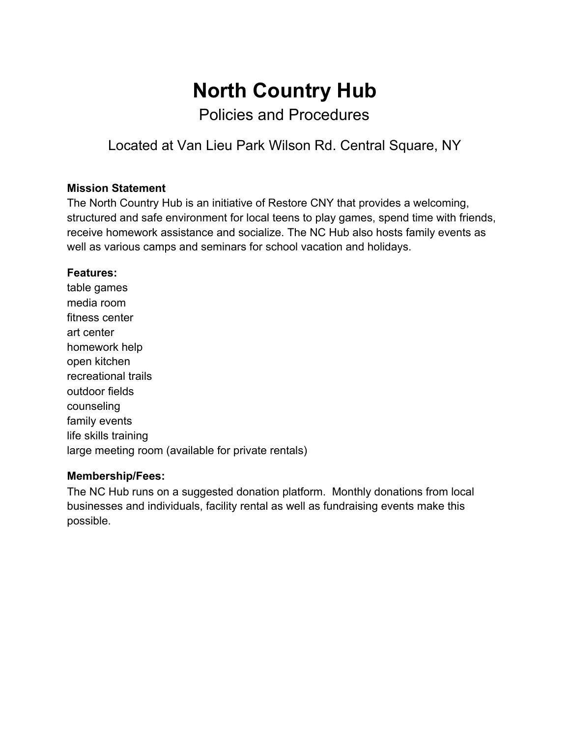# **North Country Hub**

Policies and Procedures

Located at Van Lieu Park Wilson Rd. Central Square, NY

## **Mission Statement**

The North Country Hub is an initiative of Restore CNY that provides a welcoming, structured and safe environment for local teens to play games, spend time with friends, receive homework assistance and socialize. The NC Hub also hosts family events as well as various camps and seminars for school vacation and holidays.

#### **Features:**

table games media room fitness center art center homework help open kitchen recreational trails outdoor fields counseling family events life skills training large meeting room (available for private rentals)

## **Membership/Fees:**

The NC Hub runs on a suggested donation platform. Monthly donations from local businesses and individuals, facility rental as well as fundraising events make this possible.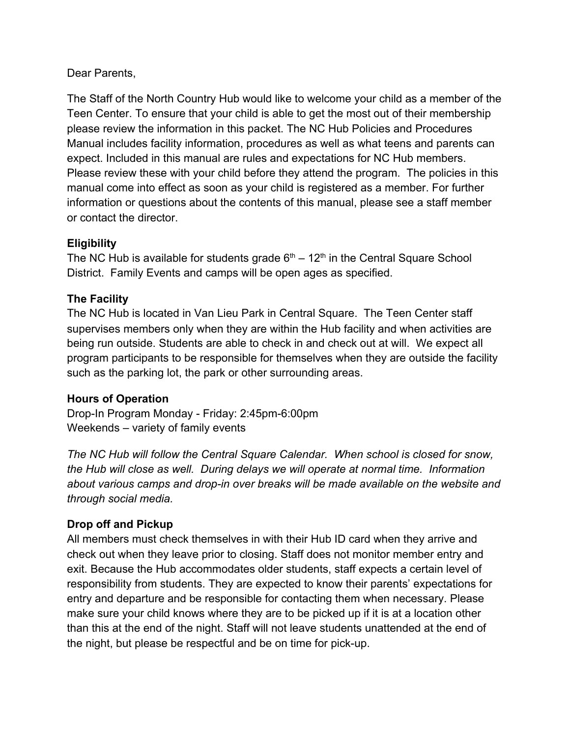## Dear Parents,

The Staff of the North Country Hub would like to welcome your child as a member of the Teen Center. To ensure that your child is able to get the most out of their membership please review the information in this packet. The NC Hub Policies and Procedures Manual includes facility information, procedures as well as what teens and parents can expect. Included in this manual are rules and expectations for NC Hub members. Please review these with your child before they attend the program. The policies in this manual come into effect as soon as your child is registered as a member. For further information or questions about the contents of this manual, please see a staff member or contact the director.

## **Eligibility**

The NC Hub is available for students grade  $6<sup>th</sup> - 12<sup>th</sup>$  in the Central Square School District. Family Events and camps will be open ages as specified.

## **The Facility**

The NC Hub is located in Van Lieu Park in Central Square. The Teen Center staff supervises members only when they are within the Hub facility and when activities are being run outside. Students are able to check in and check out at will. We expect all program participants to be responsible for themselves when they are outside the facility such as the parking lot, the park or other surrounding areas.

#### **Hours of Operation**

Drop-In Program Monday - Friday: 2:45pm-6:00pm Weekends – variety of family events

*The NC Hub will follow the Central Square Calendar. When school is closed for snow, the Hub will close as well. During delays we will operate at normal time. Information about various camps and drop-in over breaks will be made available on the website and through social media.*

## **Drop off and Pickup**

All members must check themselves in with their Hub ID card when they arrive and check out when they leave prior to closing. Staff does not monitor member entry and exit. Because the Hub accommodates older students, staff expects a certain level of responsibility from students. They are expected to know their parents' expectations for entry and departure and be responsible for contacting them when necessary. Please make sure your child knows where they are to be picked up if it is at a location other than this at the end of the night. Staff will not leave students unattended at the end of the night, but please be respectful and be on time for pick-up.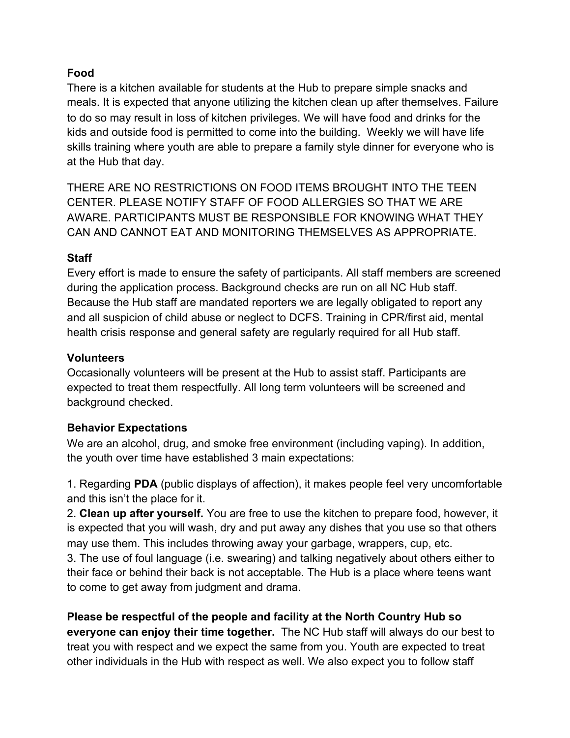## **Food**

There is a kitchen available for students at the Hub to prepare simple snacks and meals. It is expected that anyone utilizing the kitchen clean up after themselves. Failure to do so may result in loss of kitchen privileges. We will have food and drinks for the kids and outside food is permitted to come into the building. Weekly we will have life skills training where youth are able to prepare a family style dinner for everyone who is at the Hub that day.

THERE ARE NO RESTRICTIONS ON FOOD ITEMS BROUGHT INTO THE TEEN CENTER. PLEASE NOTIFY STAFF OF FOOD ALLERGIES SO THAT WE ARE AWARE. PARTICIPANTS MUST BE RESPONSIBLE FOR KNOWING WHAT THEY CAN AND CANNOT EAT AND MONITORING THEMSELVES AS APPROPRIATE.

## **Staff**

Every effort is made to ensure the safety of participants. All staff members are screened during the application process. Background checks are run on all NC Hub staff. Because the Hub staff are mandated reporters we are legally obligated to report any and all suspicion of child abuse or neglect to DCFS. Training in CPR/first aid, mental health crisis response and general safety are regularly required for all Hub staff.

#### **Volunteers**

Occasionally volunteers will be present at the Hub to assist staff. Participants are expected to treat them respectfully. All long term volunteers will be screened and background checked.

## **Behavior Expectations**

We are an alcohol, drug, and smoke free environment (including vaping). In addition, the youth over time have established 3 main expectations:

1. Regarding **PDA** (public displays of affection), it makes people feel very uncomfortable and this isn't the place for it.

2. **Clean up after yourself.** You are free to use the kitchen to prepare food, however, it is expected that you will wash, dry and put away any dishes that you use so that others may use them. This includes throwing away your garbage, wrappers, cup, etc.

3. The use of foul language (i.e. swearing) and talking negatively about others either to their face or behind their back is not acceptable. The Hub is a place where teens want to come to get away from judgment and drama.

**Please be respectful of the people and facility at the North Country Hub so everyone can enjoy their time together.** The NC Hub staff will always do our best to treat you with respect and we expect the same from you. Youth are expected to treat other individuals in the Hub with respect as well. We also expect you to follow staff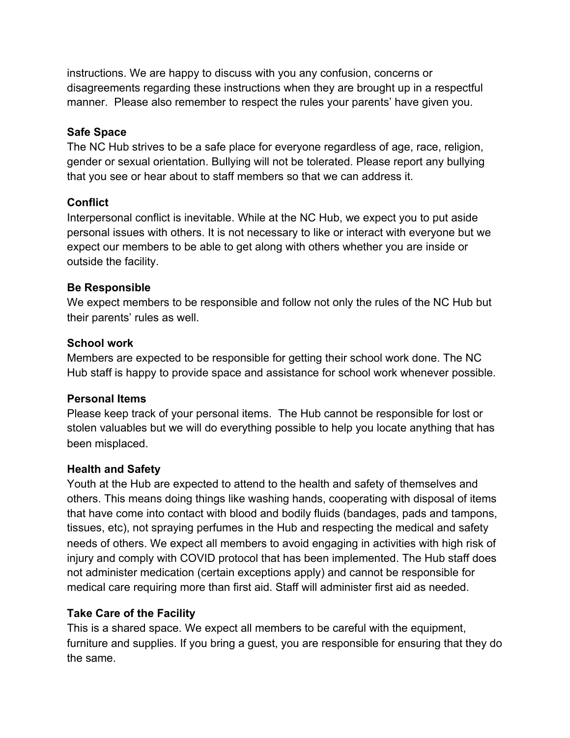instructions. We are happy to discuss with you any confusion, concerns or disagreements regarding these instructions when they are brought up in a respectful manner. Please also remember to respect the rules your parents' have given you.

#### **Safe Space**

The NC Hub strives to be a safe place for everyone regardless of age, race, religion, gender or sexual orientation. Bullying will not be tolerated. Please report any bullying that you see or hear about to staff members so that we can address it.

## **Conflict**

Interpersonal conflict is inevitable. While at the NC Hub, we expect you to put aside personal issues with others. It is not necessary to like or interact with everyone but we expect our members to be able to get along with others whether you are inside or outside the facility.

## **Be Responsible**

We expect members to be responsible and follow not only the rules of the NC Hub but their parents' rules as well.

#### **School work**

Members are expected to be responsible for getting their school work done. The NC Hub staff is happy to provide space and assistance for school work whenever possible.

#### **Personal Items**

Please keep track of your personal items. The Hub cannot be responsible for lost or stolen valuables but we will do everything possible to help you locate anything that has been misplaced.

## **Health and Safety**

Youth at the Hub are expected to attend to the health and safety of themselves and others. This means doing things like washing hands, cooperating with disposal of items that have come into contact with blood and bodily fluids (bandages, pads and tampons, tissues, etc), not spraying perfumes in the Hub and respecting the medical and safety needs of others. We expect all members to avoid engaging in activities with high risk of injury and comply with COVID protocol that has been implemented. The Hub staff does not administer medication (certain exceptions apply) and cannot be responsible for medical care requiring more than first aid. Staff will administer first aid as needed.

## **Take Care of the Facility**

This is a shared space. We expect all members to be careful with the equipment, furniture and supplies. If you bring a guest, you are responsible for ensuring that they do the same.